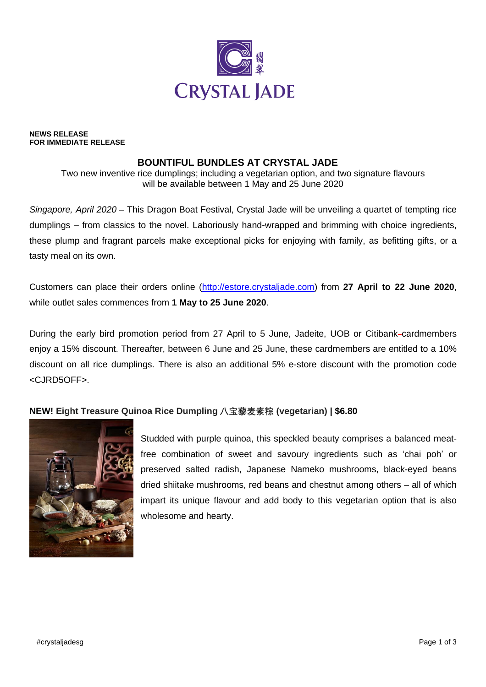

#### **NEWS RELEASE FOR IMMEDIATE RELEASE**

## **BOUNTIFUL BUNDLES AT CRYSTAL JADE**

Two new inventive rice dumplings; including a vegetarian option, and two signature flavours will be available between 1 May and 25 June 2020

*Singapore, April 2020* – This Dragon Boat Festival, Crystal Jade will be unveiling a quartet of tempting rice dumplings – from classics to the novel. Laboriously hand-wrapped and brimming with choice ingredients, these plump and fragrant parcels make exceptional picks for enjoying with family, as befitting gifts, or a tasty meal on its own.

Customers can place their orders online [\(http://estore.crystaljade.com\)](http://estore.crystaljade.com/) from **27 April to 22 June 2020**, while outlet sales commences from **1 May to 25 June 2020**.

During the early bird promotion period from 27 April to 5 June, Jadeite, UOB or Citibank-cardmembers enjoy a 15% discount. Thereafter, between 6 June and 25 June, these cardmembers are entitled to a 10% discount on all rice dumplings. There is also an additional 5% e-store discount with the promotion code <CJRD5OFF>.

### **NEW! Eight Treasure Quinoa Rice Dumpling 八宝藜麦素粽 (vegetarian) | \$6.80**



Studded with purple quinoa, this speckled beauty comprises a balanced meatfree combination of sweet and savoury ingredients such as 'chai poh' or preserved salted radish, Japanese Nameko mushrooms, black-eyed beans dried shiitake mushrooms, red beans and chestnut among others – all of which impart its unique flavour and add body to this vegetarian option that is also wholesome and hearty.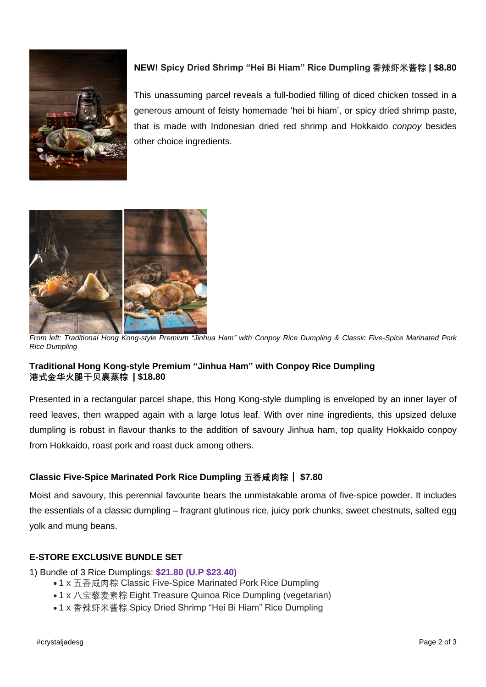

# **NEW! Spicy Dried Shrimp "Hei Bi Hiam" Rice Dumpling 香辣虾米酱粽 | \$8.80**

This unassuming parcel reveals a full-bodied filling of diced chicken tossed in a generous amount of feisty homemade 'hei bi hiam', or spicy dried shrimp paste, that is made with Indonesian dried red shrimp and Hokkaido *conpoy* besides other choice ingredients.



*From left: Traditional Hong Kong-style Premium "Jinhua Ham" with Conpoy Rice Dumpling & Classic Five-Spice Marinated Pork Rice Dumpling*

## **Traditional Hong Kong-style Premium "Jinhua Ham" with Conpoy Rice Dumpling 港式金华火腿干贝裹蒸粽 | \$18.80**

Presented in a rectangular parcel shape, this Hong Kong-style dumpling is enveloped by an inner layer of reed leaves, then wrapped again with a large lotus leaf. With over nine ingredients, this upsized deluxe dumpling is robust in flavour thanks to the addition of savoury Jinhua ham, top quality Hokkaido conpoy from Hokkaido, roast pork and roast duck among others.

# **Classic Five-Spice Marinated Pork Rice Dumpling 五香咸肉粽** | **\$7.80**

Moist and savoury, this perennial favourite bears the unmistakable aroma of five-spice powder. It includes the essentials of a classic dumpling – fragrant glutinous rice, juicy pork chunks, sweet chestnuts, salted egg yolk and mung beans.

## **E-STORE EXCLUSIVE BUNDLE SET**

- 1) Bundle of 3 Rice Dumplings: **\$21.80 (U.P \$23.40)**
	- 1 x 五香咸肉粽 Classic Five-Spice Marinated Pork Rice Dumpling
	- 1 x 八宝藜麦素粽 Eight Treasure Quinoa Rice Dumpling (vegetarian)
	- 1 x 香辣虾米酱粽 Spicy Dried Shrimp "Hei Bi Hiam" Rice Dumpling